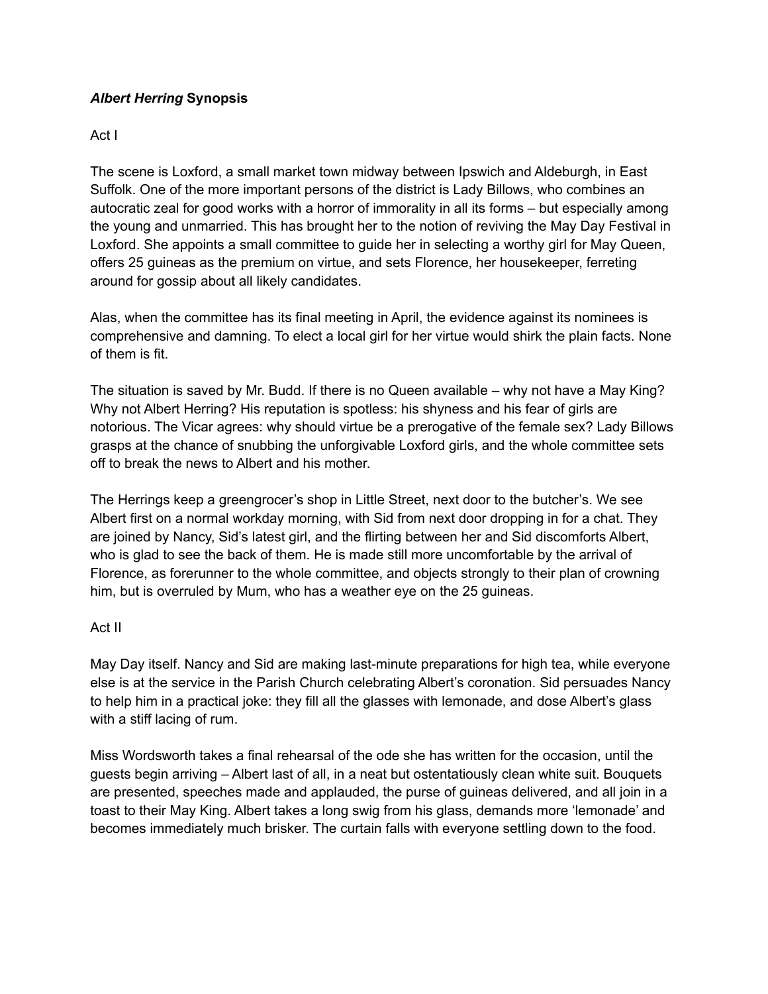## *Albert Herring* **Synopsis**

## Act I

The scene is Loxford, a small market town midway between Ipswich and Aldeburgh, in East Suffolk. One of the more important persons of the district is Lady Billows, who combines an autocratic zeal for good works with a horror of immorality in all its forms – but especially among the young and unmarried. This has brought her to the notion of reviving the May Day Festival in Loxford. She appoints a small committee to guide her in selecting a worthy girl for May Queen, offers 25 guineas as the premium on virtue, and sets Florence, her housekeeper, ferreting around for gossip about all likely candidates.

Alas, when the committee has its final meeting in April, the evidence against its nominees is comprehensive and damning. To elect a local girl for her virtue would shirk the plain facts. None of them is fit.

The situation is saved by Mr. Budd. If there is no Queen available – why not have a May King? Why not Albert Herring? His reputation is spotless: his shyness and his fear of girls are notorious. The Vicar agrees: why should virtue be a prerogative of the female sex? Lady Billows grasps at the chance of snubbing the unforgivable Loxford girls, and the whole committee sets off to break the news to Albert and his mother.

The Herrings keep a greengrocer's shop in Little Street, next door to the butcher's. We see Albert first on a normal workday morning, with Sid from next door dropping in for a chat. They are joined by Nancy, Sid's latest girl, and the flirting between her and Sid discomforts Albert, who is glad to see the back of them. He is made still more uncomfortable by the arrival of Florence, as forerunner to the whole committee, and objects strongly to their plan of crowning him, but is overruled by Mum, who has a weather eye on the 25 guineas.

## Act II

May Day itself. Nancy and Sid are making last-minute preparations for high tea, while everyone else is at the service in the Parish Church celebrating Albert's coronation. Sid persuades Nancy to help him in a practical joke: they fill all the glasses with lemonade, and dose Albert's glass with a stiff lacing of rum.

Miss Wordsworth takes a final rehearsal of the ode she has written for the occasion, until the guests begin arriving – Albert last of all, in a neat but ostentatiously clean white suit. Bouquets are presented, speeches made and applauded, the purse of guineas delivered, and all join in a toast to their May King. Albert takes a long swig from his glass, demands more 'lemonade' and becomes immediately much brisker. The curtain falls with everyone settling down to the food.